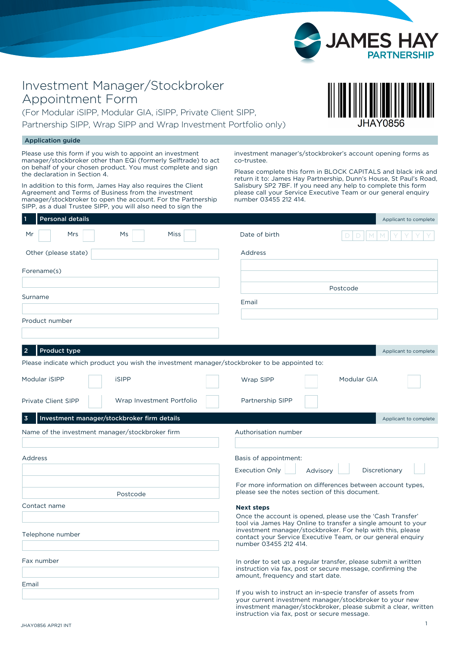

## Investment Manager/Stockbroker Appointment Form

(For Modular iSIPP, Modular GIA, iSIPP, Private Client SIPP, Partnership SIPP, Wrap SIPP and Wrap Investment Portfolio only)

## Application guide

Please use this form if you wish to appoint an investment manager/stockbroker other than EQi (formerly Selftrade) to act on behalf of your chosen product. You must complete and sign the declaration in Section 4.

In addition to this form, James Hay also requires the Client Agreement and Terms of Business from the investment manager/stockbroker to open the account. For the Partnership SIPP, as a dual Trustee SIPP, you will also need to sign the

investment manager's/stockbroker's account opening forms as co-trustee.

Please complete this form in BLOCK CAPITALS and black ink and return it to: James Hay Partnership, Dunn's House, St Paul's Road, Salisbury SP2 7BF. If you need any help to complete this form please call your Service Executive Team or our general enquiry number 03455 212 414.

| <b>Personal details</b>                                                                       | Applicant to complete                                                                                                                                                                                               |  |  |  |  |
|-----------------------------------------------------------------------------------------------|---------------------------------------------------------------------------------------------------------------------------------------------------------------------------------------------------------------------|--|--|--|--|
| Miss<br>Mrs<br>Mr<br>Ms                                                                       | Date of birth                                                                                                                                                                                                       |  |  |  |  |
| Other (please state)                                                                          | Address                                                                                                                                                                                                             |  |  |  |  |
|                                                                                               |                                                                                                                                                                                                                     |  |  |  |  |
| Forename(s)                                                                                   |                                                                                                                                                                                                                     |  |  |  |  |
|                                                                                               | Postcode                                                                                                                                                                                                            |  |  |  |  |
| Surname                                                                                       | Email                                                                                                                                                                                                               |  |  |  |  |
| Product number                                                                                |                                                                                                                                                                                                                     |  |  |  |  |
|                                                                                               |                                                                                                                                                                                                                     |  |  |  |  |
| Product type<br>2                                                                             | Applicant to complete                                                                                                                                                                                               |  |  |  |  |
| Please indicate which product you wish the investment manager/stockbroker to be appointed to: |                                                                                                                                                                                                                     |  |  |  |  |
| Modular iSIPP<br><b>iSIPP</b>                                                                 | Modular GIA<br>Wrap SIPP                                                                                                                                                                                            |  |  |  |  |
|                                                                                               |                                                                                                                                                                                                                     |  |  |  |  |
| Private Client SIPP<br>Wrap Investment Portfolio                                              | Partnership SIPP                                                                                                                                                                                                    |  |  |  |  |
| Investment manager/stockbroker firm details<br>3                                              | Applicant to complete                                                                                                                                                                                               |  |  |  |  |
| Name of the investment manager/stockbroker firm                                               | Authorisation number                                                                                                                                                                                                |  |  |  |  |
|                                                                                               |                                                                                                                                                                                                                     |  |  |  |  |
| Address                                                                                       | Basis of appointment:                                                                                                                                                                                               |  |  |  |  |
|                                                                                               | <b>Execution Only</b><br>Discretionary<br>Advisory                                                                                                                                                                  |  |  |  |  |
| Postcode                                                                                      | For more information on differences between account types,<br>please see the notes section of this document.                                                                                                        |  |  |  |  |
| Contact name                                                                                  | <b>Next steps</b>                                                                                                                                                                                                   |  |  |  |  |
|                                                                                               | Once the account is opened, please use the 'Cash Transfer'                                                                                                                                                          |  |  |  |  |
| Telephone number                                                                              | tool via James Hay Online to transfer a single amount to your<br>investment manager/stockbroker. For help with this, please<br>contact your Service Executive Team, or our general enquiry<br>number 03455 212 414. |  |  |  |  |
| Fax number                                                                                    | In order to set up a regular transfer, please submit a written<br>instruction via fax, post or secure message, confirming the<br>amount, frequency and start date.                                                  |  |  |  |  |
| Email                                                                                         | If you wish to instruct an in-specie transfer of assets from                                                                                                                                                        |  |  |  |  |
|                                                                                               | your current investment manager/stockbroker to your new<br>investment manager/stockbroker, please submit a clear, written<br>instruction via fax, post or secure message.                                           |  |  |  |  |